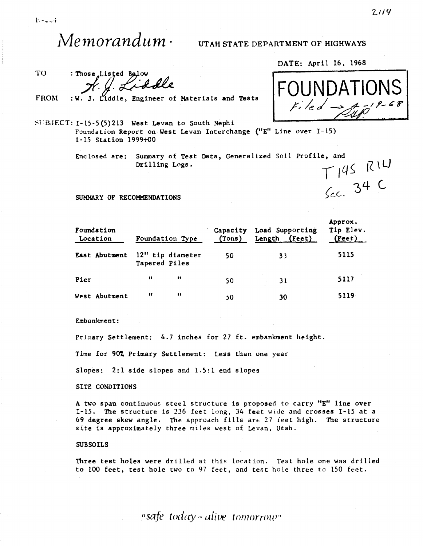$M$ e $\emph{normalum}\cdot$  UTAH STATE DEPARTMENT OF HIGHWAYS

TO

 $r$ ,  $\ell$ , Liodle

FROM

Liddle, Engineer of Materials and Tests

Foundation Report on West Levan Interchange ("E" Line over I-15) 1-15 Station 1999+00

> Enclosed are: Summary of Test Data, Generalized Soil Profile, and e, and<br>  $T145$  RIW<br>
> Sec. 34 C Drilling Logs.

SUMMARY OF RECOMMENDATIONS

| Foundation<br>Location | Foundation Type                   |              | Capacity<br>(Tons) | Load Supporting<br>Length (Feet) | Approx.<br>Tip Elev.<br>$($ Peet $)$ |
|------------------------|-----------------------------------|--------------|--------------------|----------------------------------|--------------------------------------|
| East Abutment          | 12" tip diameter<br>Tapered Piles |              | 50                 | 33                               | 5115                                 |
| Pier                   | $\blacksquare$                    | $^{\bullet}$ | 50                 | 31                               | 5117                                 |
| West Abutment          | 11                                | $^{\bullet}$ | 50                 | 30                               | 5119                                 |

Embankment:

Primary Settlement: 4.7 inches for 27 ft. embankment height.

Time for 90% Primary Settlement: Less than one year

Slopes: 2:1 side slopes and 1.5:1 end slopes

SITE CONDITIONS

A two span continuous steel structure is proposed to carry "E" line over I-15. The structure is 236 feet long, 34 feet wide and crosses I-15 at a 69 degree skew angle. The approach fills are 27 feet high. The structure site is approximately three miles west of Levan, Utah.

## SUBSOILS

Three test holes were drilled at this location. Test hole one was drilled to 100 feet, test hole two to 97 feet, and test hole three to 150 feet.

DATE: April 16, 1968

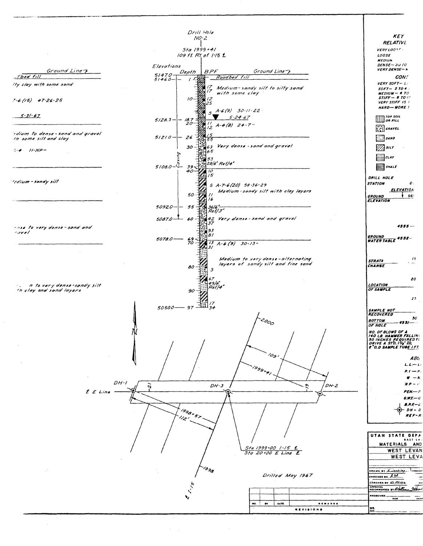